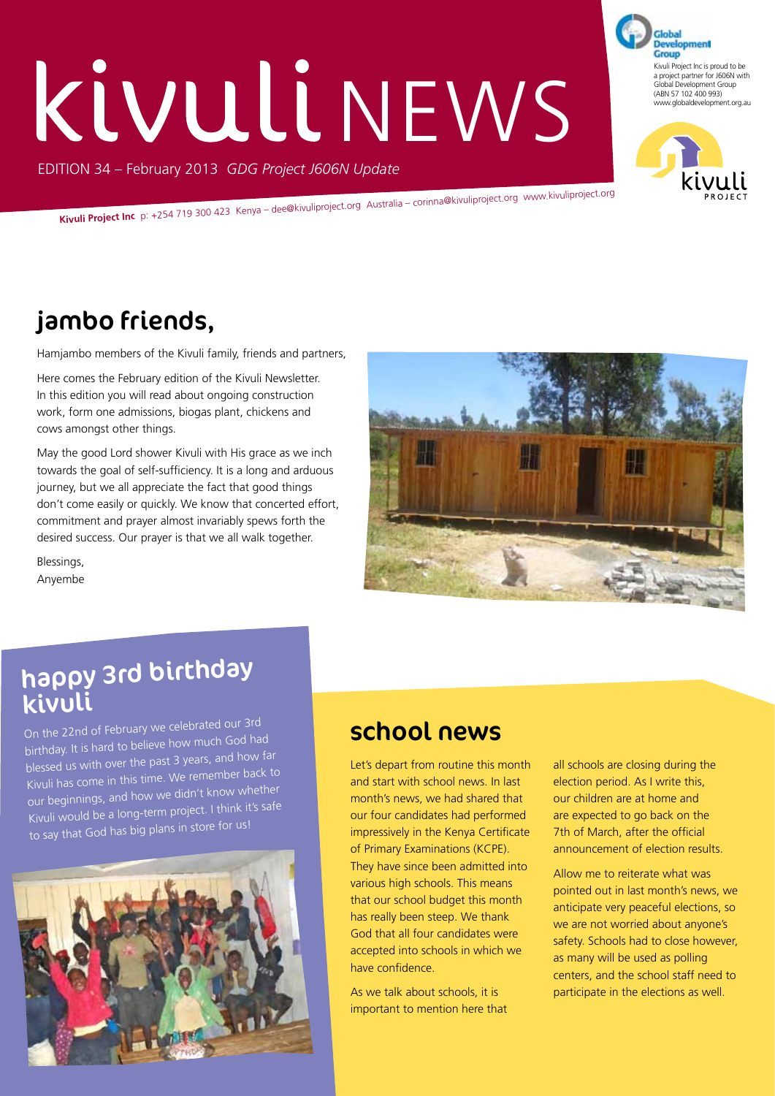# **Kivuli NEWS**

EDITION 34 – February 2013 *GDG Project J606N Update*

**Kivuli Project Inc** p: +254 719 300 423 Kenya – dee@kivuliproject.org Australia – corinna@kivuliproject.org www.kivuliproject.org

# jambo friends,

Hamjambo members of the Kivuli family, friends and partners,

Here comes the February edition of the Kivuli Newsletter. In this edition you will read about ongoing construction work, form one admissions, biogas plant, chickens and cows amongst other things.

May the good Lord shower Kivuli with His grace as we inch towards the goal of self-sufficiency. It is a long and arduous journey, but we all appreciate the fact that good things don't come easily or quickly. We know that concerted effort, commitment and prayer almost invariably spews forth the desired success. Our prayer is that we all walk together.

Blessings, Anyembe



On the 22nd of February we celebrated our 3rd birthday. It is hard to believe how much God had blessed us with over the past 3 years, and how far Kivuli has come in this time. We remember back to our beginnings, and how we didn't know whether Kivuli would be a long-term project. I think it's safe to say that God has big plans in store for us!



# school news

Let's depart from routine this month and start with school news. In last month's news, we had shared that our four candidates had performed impressively in the Kenya Certificate of Primary Examinations (KCPE). They have since been admitted into various high schools. This means that our school budget this month has really been steep. We thank God that all four candidates were accepted into schools in which we have confidence.

As we talk about schools, it is important to mention here that all schools are closing during the election period. As I write this, our children are at home and are expected to go back on the 7th of March, after the official announcement of election results.

Allow me to reiterate what was pointed out in last month's news, we anticipate very peaceful elections, so we are not worried about anyone's safety. Schools had to close however, as many will be used as polling centers, and the school staff need to participate in the elections as well.



Development Group Kivuli Project Inc is proud to be a project partner for J606N with Global Development Group (ABN 57 102 400 993) www.globaldevelopment.org.au

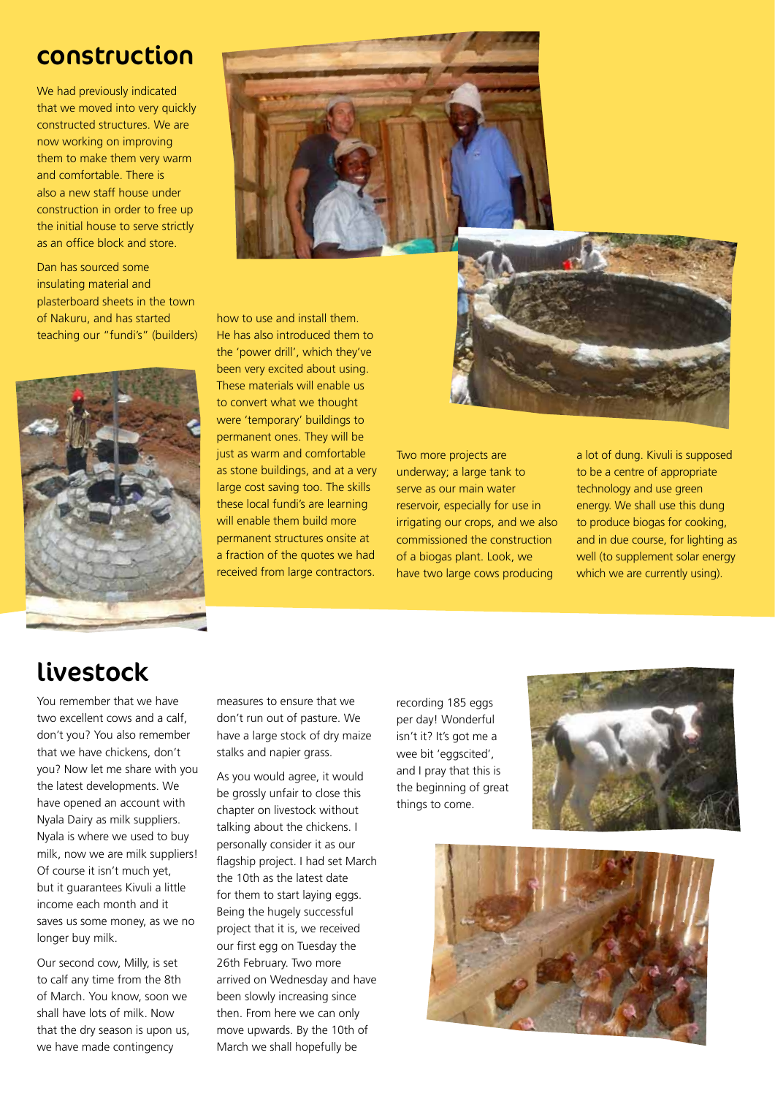#### construction

We had previously indicated that we moved into very quickly constructed structures. We are now working on improving them to make them very warm and comfortable. There is also a new staff house under construction in order to free up the initial house to serve strictly as an office block and store.

Dan has sourced some insulating material and plasterboard sheets in the town of Nakuru, and has started teaching our "fundi's" (builders)



how to use and install them. He has also introduced them to the 'power drill', which they've been very excited about using. These materials will enable us to convert what we thought were 'temporary' buildings to permanent ones. They will be just as warm and comfortable as stone buildings, and at a very large cost saving too. The skills these local fundi's are learning will enable them build more permanent structures onsite at a fraction of the quotes we had received from large contractors.



Two more projects are underway; a large tank to serve as our main water reservoir, especially for use in irrigating our crops, and we also commissioned the construction of a biogas plant. Look, we have two large cows producing

a lot of dung. Kivuli is supposed to be a centre of appropriate technology and use green energy. We shall use this dung to produce biogas for cooking, and in due course, for lighting as well (to supplement solar energy which we are currently using).

# livestock

You remember that we have two excellent cows and a calf, don't you? You also remember that we have chickens, don't you? Now let me share with you the latest developments. We have opened an account with Nyala Dairy as milk suppliers. Nyala is where we used to buy milk, now we are milk suppliers! Of course it isn't much yet, but it guarantees Kivuli a little income each month and it saves us some money, as we no longer buy milk.

Our second cow, Milly, is set to calf any time from the 8th of March. You know, soon we shall have lots of milk. Now that the dry season is upon us, we have made contingency

measures to ensure that we don't run out of pasture. We have a large stock of dry maize stalks and napier grass.

As you would agree, it would be grossly unfair to close this chapter on livestock without talking about the chickens. I personally consider it as our flagship project. I had set March the 10th as the latest date for them to start laying eggs. Being the hugely successful project that it is, we received our first egg on Tuesday the 26th February. Two more arrived on Wednesday and have been slowly increasing since then. From here we can only move upwards. By the 10th of March we shall hopefully be

recording 185 eggs per day! Wonderful isn't it? It's got me a wee bit 'eggscited', and I pray that this is the beginning of great things to come.